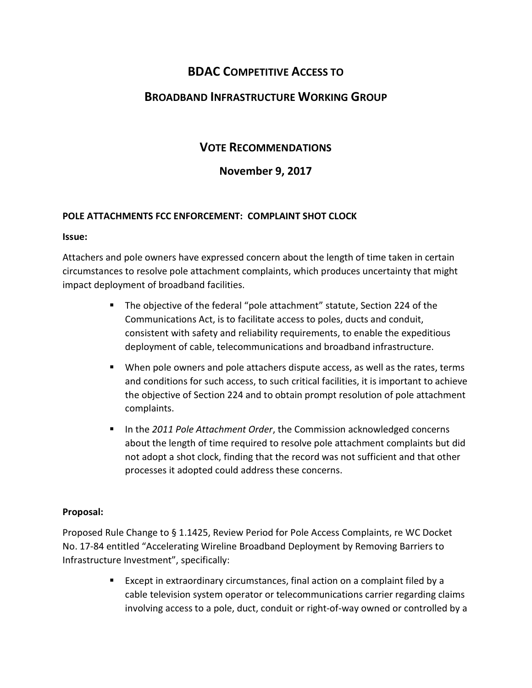# BDAC COMPETITIVE ACCESS TO

# BROADBAND INFRASTRUCTURE WORKING GROUP

# VOTE RECOMMENDATIONS

# November 9, 2017

## POLE ATTACHMENTS FCC ENFORCEMENT: COMPLAINT SHOT CLOCK

#### Issue:

Attachers and pole owners have expressed concern about the length of time taken in certain circumstances to resolve pole attachment complaints, which produces uncertainty that might impact deployment of broadband facilities.

- The objective of the federal "pole attachment" statute, Section 224 of the Communications Act, is to facilitate access to poles, ducts and conduit, consistent with safety and reliability requirements, to enable the expeditious deployment of cable, telecommunications and broadband infrastructure.
- **When pole owners and pole attachers dispute access, as well as the rates, terms** and conditions for such access, to such critical facilities, it is important to achieve the objective of Section 224 and to obtain prompt resolution of pole attachment complaints.
- In the 2011 Pole Attachment Order, the Commission acknowledged concerns about the length of time required to resolve pole attachment complaints but did not adopt a shot clock, finding that the record was not sufficient and that other processes it adopted could address these concerns.

## Proposal:

Proposed Rule Change to § 1.1425, Review Period for Pole Access Complaints, re WC Docket No. 17-84 entitled "Accelerating Wireline Broadband Deployment by Removing Barriers to Infrastructure Investment", specifically:

> **Except in extraordinary circumstances, final action on a complaint filed by a** cable television system operator or telecommunications carrier regarding claims involving access to a pole, duct, conduit or right-of-way owned or controlled by a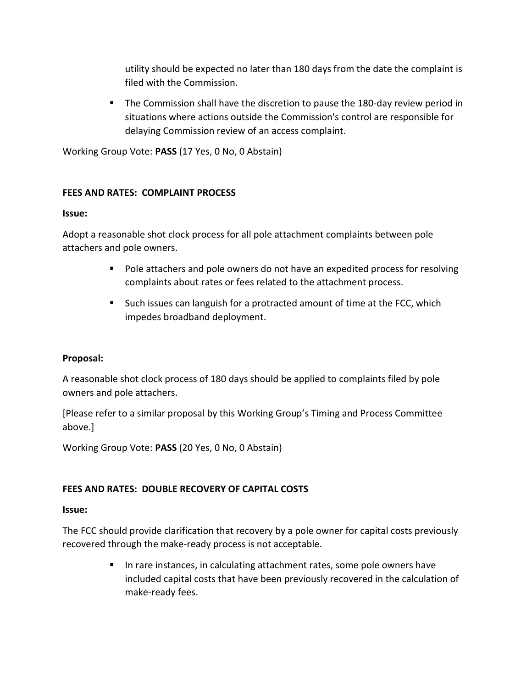utility should be expected no later than 180 days from the date the complaint is filed with the Commission.

**The Commission shall have the discretion to pause the 180-day review period in** situations where actions outside the Commission's control are responsible for delaying Commission review of an access complaint.

Working Group Vote: PASS (17 Yes, 0 No, 0 Abstain)

## FEES AND RATES: COMPLAINT PROCESS

## Issue:

Adopt a reasonable shot clock process for all pole attachment complaints between pole attachers and pole owners.

- **Pole attachers and pole owners do not have an expedited process for resolving** complaints about rates or fees related to the attachment process.
- Such issues can languish for a protracted amount of time at the FCC, which impedes broadband deployment.

## Proposal:

A reasonable shot clock process of 180 days should be applied to complaints filed by pole owners and pole attachers.

[Please refer to a similar proposal by this Working Group's Timing and Process Committee above.]

Working Group Vote: PASS (20 Yes, 0 No, 0 Abstain)

## FEES AND RATES: DOUBLE RECOVERY OF CAPITAL COSTS

#### Issue:

The FCC should provide clarification that recovery by a pole owner for capital costs previously recovered through the make-ready process is not acceptable.

> In rare instances, in calculating attachment rates, some pole owners have included capital costs that have been previously recovered in the calculation of make-ready fees.